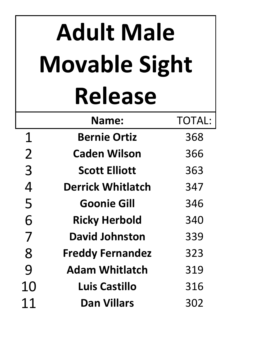## **Adult Male Movable Sight Release**

|                | Name:                    | <b>TOTAL:</b> |
|----------------|--------------------------|---------------|
| $\mathbf 1$    | <b>Bernie Ortiz</b>      | 368           |
| $\overline{2}$ | <b>Caden Wilson</b>      | 366           |
| 3              | <b>Scott Elliott</b>     | 363           |
| 4              | <b>Derrick Whitlatch</b> | 347           |
| 5              | <b>Goonie Gill</b>       | 346           |
| 6              | <b>Ricky Herbold</b>     | 340           |
| 7              | <b>David Johnston</b>    | 339           |
| 8              | <b>Freddy Fernandez</b>  | 323           |
| 9              | <b>Adam Whitlatch</b>    | 319           |
| 10             | Luis Castillo            | 316           |
| 11             | <b>Dan Villars</b>       | 302           |
|                |                          |               |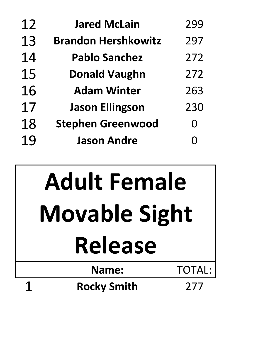| 12 | <b>Jared McLain</b>        | 299      |
|----|----------------------------|----------|
| 13 | <b>Brandon Hershkowitz</b> | 297      |
| 14 | <b>Pablo Sanchez</b>       | 272      |
| 15 | <b>Donald Vaughn</b>       | 272      |
| 16 | <b>Adam Winter</b>         | 263      |
| 17 | <b>Jason Ellingson</b>     | 230      |
| 18 | <b>Stephen Greenwood</b>   | $\Omega$ |
| 19 | <b>Jason Andre</b>         | O        |
|    |                            |          |

## **Name:** TOTAL: **Rocky Smith** 277 **Adult Female Movable Sight Release**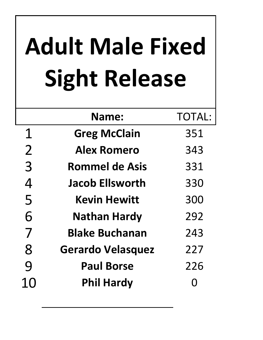## **Adult Male Fixed Sight Release**

|                | Name:                    | <b>TOTAL:</b> |
|----------------|--------------------------|---------------|
| 1              | <b>Greg McClain</b>      | 351           |
| $\overline{2}$ | <b>Alex Romero</b>       | 343           |
| 3              | <b>Rommel de Asis</b>    | 331           |
| 4              | <b>Jacob Ellsworth</b>   | 330           |
| 5              | <b>Kevin Hewitt</b>      | 300           |
| 6              | <b>Nathan Hardy</b>      | 292           |
| 7              | <b>Blake Buchanan</b>    | 243           |
| 8              | <b>Gerardo Velasquez</b> | 227           |
| 9              | <b>Paul Borse</b>        | 226           |
| 10             | <b>Phil Hardy</b>        |               |
|                |                          |               |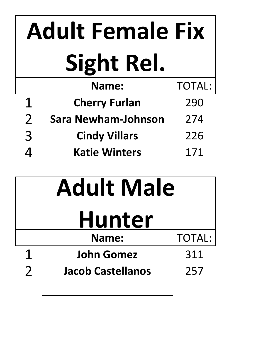| <b>Adult Female Fix</b> |                            |               |
|-------------------------|----------------------------|---------------|
|                         | Sight Rel.                 |               |
|                         | <b>Name:</b>               | <b>TOTAL:</b> |
| $\mathbf 1$             | <b>Cherry Furlan</b>       | 290           |
| $\overline{2}$          | <b>Sara Newham-Johnson</b> | 274           |
| 3                       | <b>Cindy Villars</b>       | 226           |
|                         | <b>Katie Winters</b>       | 171           |

| <b>Adult Male</b>        |                          |               |
|--------------------------|--------------------------|---------------|
| <b>Hunter</b>            |                          |               |
|                          | Name:                    | <b>TOTAL:</b> |
|                          | <b>John Gomez</b>        | 311           |
| $\overline{\phantom{a}}$ | <b>Jacob Castellanos</b> | 257           |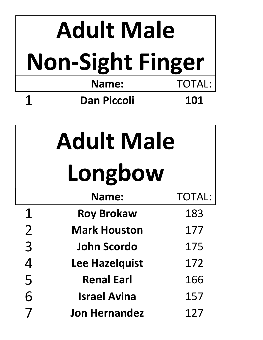| <b>Adult Male</b>       |                     |               |  |
|-------------------------|---------------------|---------------|--|
| <b>Non-Sight Finger</b> |                     |               |  |
|                         | <b>Name:</b>        | <b>TOTAL:</b> |  |
| 1                       | <b>Dan Piccoli</b>  | 101           |  |
|                         |                     |               |  |
| <b>Adult Male</b>       |                     |               |  |
|                         | Longbow             |               |  |
|                         | <b>Name:</b>        |               |  |
| 1                       | <b>Roy Brokaw</b>   | 183           |  |
| $\overline{2}$          | <b>Mark Houston</b> | 177           |  |
| 3                       | John Scordo         | 175           |  |
|                         | Loo Hazalauict      | 17つ           |  |

**Lee Hazelquist** 172<br>
5 **Renal Earl** 166<br>
6 **Israel Avina** 157<br>
7 **Jon Hernandez** 127 Renal Earl 166 **Israel Avina** 157 **Jon Hernandez** 127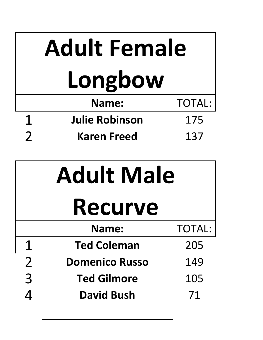| <b>Adult Female</b>                 |                       |               |
|-------------------------------------|-----------------------|---------------|
| Longbow                             |                       |               |
|                                     | <b>Name:</b>          | <b>TOTAL:</b> |
| $\mathbf 1$                         | <b>Julie Robinson</b> | 175           |
| $\overline{2}$                      | <b>Karen Freed</b>    | 137           |
| <b>Adult Male</b><br><b>Recurve</b> |                       |               |
|                                     | Name:                 | <b>TOTAL:</b> |
| $\mathbf 1$                         | <b>Ted Coleman</b>    | 205           |
| $\overline{2}$                      | <b>Domenico Russo</b> | 149           |
| 3                                   | <b>Ted Gilmore</b>    | 105           |
| $\overline{4}$                      | <b>David Bush</b>     | 71            |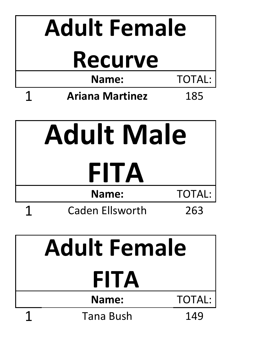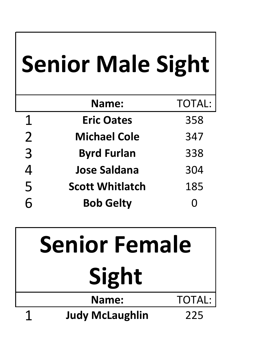|                | <b>Senior Male Sight</b> |               |
|----------------|--------------------------|---------------|
|                | Name:                    | <b>TOTAL:</b> |
| $\mathbf 1$    | <b>Eric Oates</b>        | 358           |
| $\overline{2}$ | <b>Michael Cole</b>      | 347           |
| 3              | <b>Byrd Furlan</b>       | 338           |
| $\overline{4}$ | <b>Jose Saldana</b>      | 304           |
| 5              | <b>Scott Whitlatch</b>   | 185           |
|                | <b>Bob Gelty</b>         |               |

| <b>Senior Female</b> |                        |               |
|----------------------|------------------------|---------------|
| Sight                |                        |               |
|                      | Name:                  | <b>TOTAL:</b> |
|                      | <b>Judy McLaughlin</b> | 225           |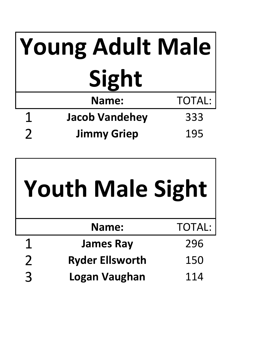| Young Adult Male |                       |               |
|------------------|-----------------------|---------------|
| Sight            |                       |               |
|                  | Name:                 | <b>TOTAL:</b> |
|                  | <b>Jacob Vandehey</b> | 333           |
|                  | <b>Jimmy Griep</b>    | 195           |

|                | <b>Youth Male Sight</b> |               |
|----------------|-------------------------|---------------|
|                | Name:                   | <b>TOTAL:</b> |
|                | <b>James Ray</b>        | 296           |
| $\overline{2}$ | <b>Ryder Ellsworth</b>  | 150           |
| $\mathbf{R}$   | <b>Logan Vaughan</b>    | 114           |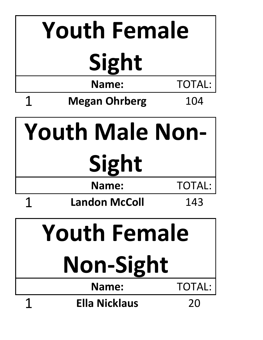